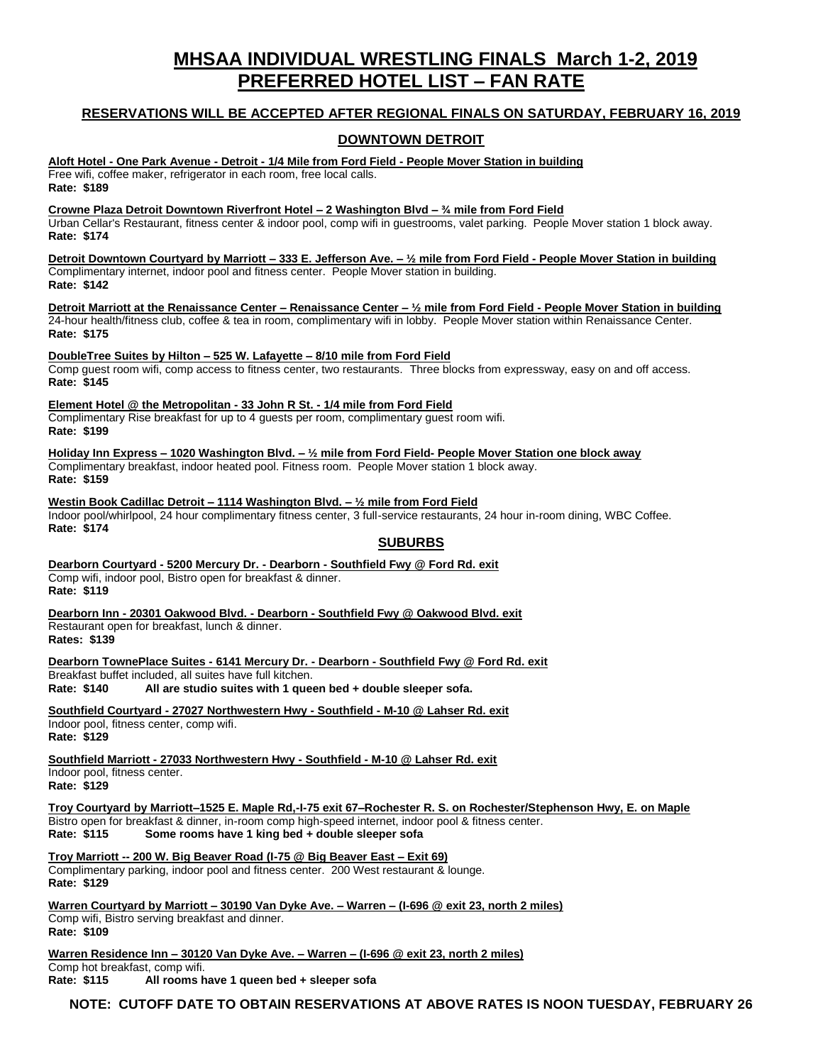# **MHSAA INDIVIDUAL WRESTLING FINALS March 1-2, 2019 PREFERRED HOTEL LIST – FAN RATE**

### **RESERVATIONS WILL BE ACCEPTED AFTER REGIONAL FINALS ON SATURDAY, FEBRUARY 16, 2019**

## **DOWNTOWN DETROIT**

**Aloft Hotel - One Park Avenue - Detroit - 1/4 Mile from Ford Field - People Mover Station in building** Free wifi, coffee maker, refrigerator in each room, free local calls. **Rate: \$189**

**Crowne Plaza Detroit Downtown Riverfront Hotel – 2 Washington Blvd – ¾ mile from Ford Field**

Urban Cellar's Restaurant, fitness center & indoor pool, comp wifi in guestrooms, valet parking. People Mover station 1 block away. **Rate: \$174**

**Detroit Downtown Courtyard by Marriott – 333 E. Jefferson Ave. – ½ mile from Ford Field - People Mover Station in building** Complimentary internet, indoor pool and fitness center. People Mover station in building. **Rate: \$142**

**Detroit Marriott at the Renaissance Center – Renaissance Center – ½ mile from Ford Field - People Mover Station in building** 24-hour health/fitness club, coffee & tea in room, complimentary wifi in lobby. People Mover station within Renaissance Center. **Rate: \$175**

**DoubleTree Suites by Hilton – 525 W. Lafayette – 8/10 mile from Ford Field**

Comp guest room wifi, comp access to fitness center, two restaurants. Three blocks from expressway, easy on and off access. **Rate: \$145**

**Element Hotel @ the Metropolitan - 33 John R St. - 1/4 mile from Ford Field** Complimentary Rise breakfast for up to 4 guests per room, complimentary guest room wifi. **Rate: \$199**

**Holiday Inn Express – 1020 Washington Blvd. – ½ mile from Ford Field- People Mover Station one block away** Complimentary breakfast, indoor heated pool. Fitness room. People Mover station 1 block away. **Rate: \$159**

**Westin Book Cadillac Detroit – 1114 Washington Blvd. – ½ mile from Ford Field** Indoor pool/whirlpool, 24 hour complimentary fitness center, 3 full-service restaurants, 24 hour in-room dining, WBC Coffee. **Rate: \$174**

#### **SUBURBS**

**Dearborn Courtyard - 5200 Mercury Dr. - Dearborn - Southfield Fwy @ Ford Rd. exit** Comp wifi, indoor pool, Bistro open for breakfast & dinner. **Rate: \$119**

**Dearborn Inn - 20301 Oakwood Blvd. - Dearborn - Southfield Fwy @ Oakwood Blvd. exit** Restaurant open for breakfast, lunch & dinner. **Rates: \$139**

**Dearborn TownePlace Suites - 6141 Mercury Dr. - Dearborn - Southfield Fwy @ Ford Rd. exit** Breakfast buffet included, all suites have full kitchen.

**Rate: \$140 All are studio suites with 1 queen bed + double sleeper sofa.**

**Southfield Courtyard - 27027 Northwestern Hwy - Southfield - M-10 @ Lahser Rd. exit**

Indoor pool, fitness center, comp wifi. **Rate: \$129**

**Southfield Marriott - 27033 Northwestern Hwy - Southfield - M-10 @ Lahser Rd. exit** Indoor pool, fitness center.

**Rate: \$129**

**Troy Courtyard by Marriott–1525 E. Maple Rd,-I-75 exit 67–Rochester R. S. on Rochester/Stephenson Hwy, E. on Maple** Bistro open for breakfast & dinner, in-room comp high-speed internet, indoor pool & fitness center. Some rooms have 1 king bed + double sleeper sofa

**Troy Marriott -- 200 W. Big Beaver Road (I-75 @ Big Beaver East – Exit 69)** Complimentary parking, indoor pool and fitness center. 200 West restaurant & lounge. **Rate: \$129**

**Warren Courtyard by Marriott – 30190 Van Dyke Ave. – Warren – (I-696 @ exit 23, north 2 miles)** Comp wifi, Bistro serving breakfast and dinner. **Rate: \$109**

**Warren Residence Inn – 30120 Van Dyke Ave. – Warren – (I-696 @ exit 23, north 2 miles)** Comp hot breakfast, comp wifi. **Rate: \$115 All rooms have 1 queen bed + sleeper sofa**

**NOTE: CUTOFF DATE TO OBTAIN RESERVATIONS AT ABOVE RATES IS NOON TUESDAY, FEBRUARY 26**